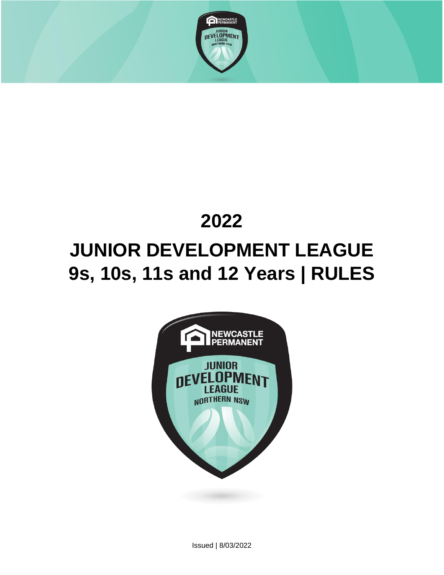

# **2022 JUNIOR DEVELOPMENT LEAGUE 9s, 10s, 11s and 12 Years | RULES**



Issued | 8/03/2022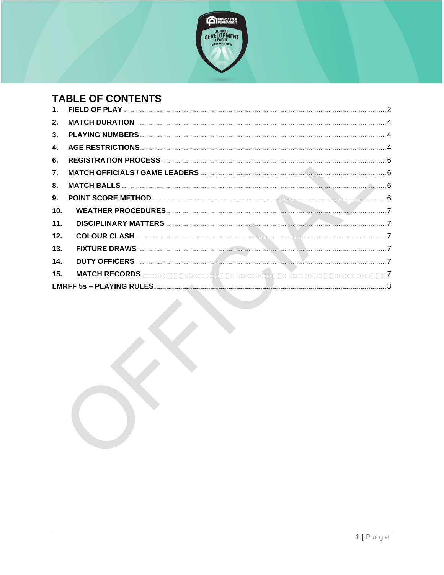

## **TABLE OF CONTENTS**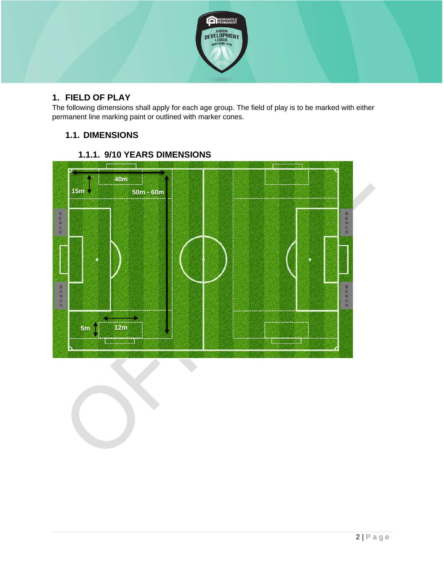

## <span id="page-2-0"></span>**1. FIELD OF PLAY**

The following dimensions shall apply for each age group. The field of play is to be marked with either permanent line marking paint or outlined with marker cones.

## **1.1. DIMENSIONS**



## **1.1.1. 9/10 YEARS DIMENSIONS**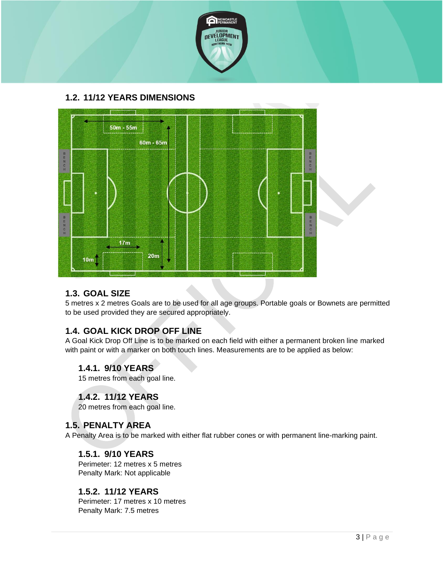

## **1.2. 11/12 YEARS DIMENSIONS**



## **1.3. GOAL SIZE**

5 metres x 2 metres Goals are to be used for all age groups. Portable goals or Bownets are permitted to be used provided they are secured appropriately.

## **1.4. GOAL KICK DROP OFF LINE**

A Goal Kick Drop Off Line is to be marked on each field with either a permanent broken line marked with paint or with a marker on both touch lines. Measurements are to be applied as below:

## **1.4.1. 9/10 YEARS**

15 metres from each goal line.

## **1.4.2. 11/12 YEARS**

20 metres from each goal line.

## **1.5. PENALTY AREA**

A Penalty Area is to be marked with either flat rubber cones or with permanent line-marking paint.

#### **1.5.1. 9/10 YEARS**

Perimeter: 12 metres x 5 metres Penalty Mark: Not applicable

## **1.5.2. 11/12 YEARS**

Perimeter: 17 metres x 10 metres Penalty Mark: 7.5 metres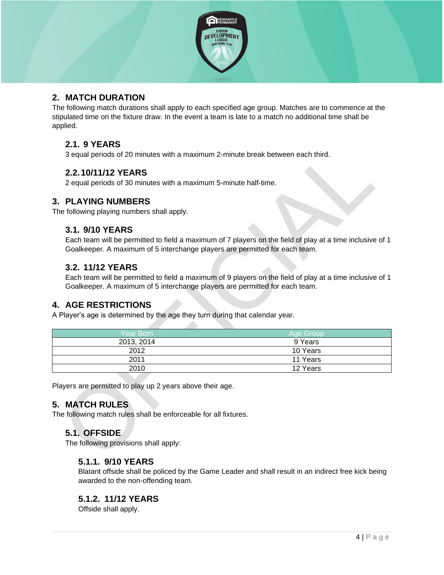

## <span id="page-4-0"></span>**2. MATCH DURATION**

The following match durations shall apply to each specified age group. Matches are to commence at the stipulated time on the fixture draw. In the event a team is late to a match no additional time shall be applied.

## **2.1. 9 YEARS**

3 equal periods of 20 minutes with a maximum 2-minute break between each third.

## <span id="page-4-1"></span>**2.2.10/11/12 YEARS**

2 equal periods of 30 minutes with a maximum 5-minute half-time.

#### **3. PLAYING NUMBERS**

The following playing numbers shall apply.

#### **3.1. 9/10 YEARS**

Each team will be permitted to field a maximum of 7 players on the field of play at a time inclusive of 1 Goalkeeper. A maximum of 5 interchange players are permitted for each team.

## **3.2. 11/12 YEARS**

Each team will be permitted to field a maximum of 9 players on the field of play at a time inclusive of 1 Goalkeeper. A maximum of 5 interchange players are permitted for each team.

## <span id="page-4-2"></span>**4. AGE RESTRICTIONS**

A Player's age is determined by the age they turn during that calendar year.

| Year Born  | Age Group |
|------------|-----------|
| 2013, 2014 | 9 Years   |
| 2012       | 10 Years  |
| 2011       | 11 Years  |
| 2010       | 12 Years  |

Players are permitted to play up 2 years above their age.

## **5. MATCH RULES**

The following match rules shall be enforceable for all fixtures.

## **5.1. OFFSIDE**

The following provisions shall apply:

#### **5.1.1. 9/10 YEARS**

Blatant offside shall be policed by the Game Leader and shall result in an indirect free kick being awarded to the non-offending team.

## **5.1.2. 11/12 YEARS**

Offside shall apply.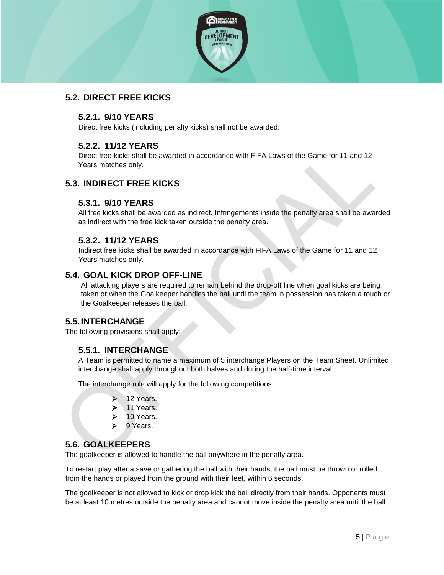

## **5.2. DIRECT FREE KICKS**

## **5.2.1. 9/10 YEARS**

Direct free kicks (including penalty kicks) shall not be awarded.

## **5.2.2. 11/12 YEARS**

Direct free kicks shall be awarded in accordance with FIFA Laws of the Game for 11 and 12 Years matches only.

## **5.3. INDIRECT FREE KICKS**

## **5.3.1. 9/10 YEARS**

All free kicks shall be awarded as indirect. Infringements inside the penalty area shall be awarded as indirect with the free kick taken outside the penalty area.

## **5.3.2. 11/12 YEARS**

Indirect free kicks shall be awarded in accordance with FIFA Laws of the Game for 11 and 12 Years matches only.

## **5.4. GOAL KICK DROP OFF-LINE**

All attacking players are required to remain behind the drop-off line when goal kicks are being taken or when the Goalkeeper handles the ball until the team in possession has taken a touch or the Goalkeeper releases the ball.

## **5.5.INTERCHANGE**

The following provisions shall apply:

## **5.5.1. INTERCHANGE**

A Team is permitted to name a maximum of 5 interchange Players on the Team Sheet. Unlimited interchange shall apply throughout both halves and during the half-time interval.

The interchange rule will apply for the following competitions:

- 12 Years.
- ➢ 11 Years.
- 10 Years.
- 9 Years.

## **5.6. GOALKEEPERS**

The goalkeeper is allowed to handle the ball anywhere in the penalty area.

To restart play after a save or gathering the ball with their hands, the ball must be thrown or rolled from the hands or played from the ground with their feet, within 6 seconds.

The goalkeeper is not allowed to kick or drop kick the ball directly from their hands. Opponents must be at least 10 metres outside the penalty area and cannot move inside the penalty area until the ball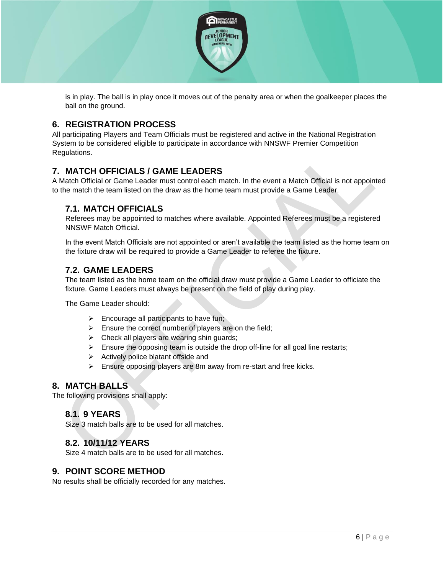

is in play. The ball is in play once it moves out of the penalty area or when the goalkeeper places the ball on the ground.

## <span id="page-6-0"></span>**6. REGISTRATION PROCESS**

All participating Players and Team Officials must be registered and active in the National Registration System to be considered eligible to participate in accordance with NNSWF Premier Competition Regulations.

## <span id="page-6-1"></span>**7. MATCH OFFICIALS / GAME LEADERS**

A Match Official or Game Leader must control each match. In the event a Match Official is not appointed to the match the team listed on the draw as the home team must provide a Game Leader.

## **7.1. MATCH OFFICIALS**

Referees may be appointed to matches where available. Appointed Referees must be a registered NNSWF Match Official.

In the event Match Officials are not appointed or aren't available the team listed as the home team on the fixture draw will be required to provide a Game Leader to referee the fixture.

## **7.2. GAME LEADERS**

The team listed as the home team on the official draw must provide a Game Leader to officiate the fixture. Game Leaders must always be present on the field of play during play.

The Game Leader should:

- ➢ Encourage all participants to have fun;
- $\triangleright$  Ensure the correct number of players are on the field;
- $\triangleright$  Check all players are wearing shin guards;
- $\triangleright$  Ensure the opposing team is outside the drop off-line for all goal line restarts;
- ➢ Actively police blatant offside and
- ➢ Ensure opposing players are 8m away from re-start and free kicks.

#### <span id="page-6-2"></span>**8. MATCH BALLS**

The following provisions shall apply:

## **8.1. 9 YEARS**

Size 3 match balls are to be used for all matches.

#### **8.2. 10/11/12 YEARS**

Size 4 match balls are to be used for all matches.

#### <span id="page-6-3"></span>**9. POINT SCORE METHOD**

No results shall be officially recorded for any matches.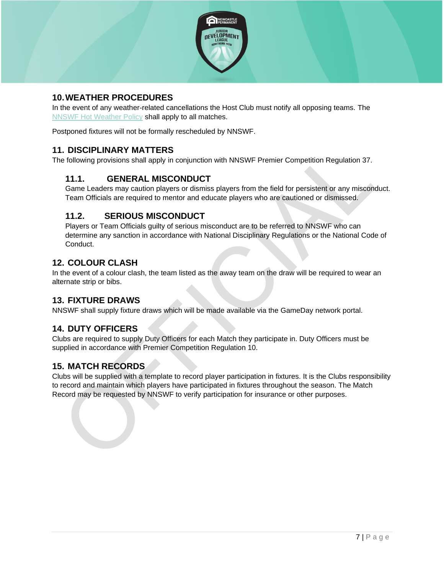

## <span id="page-7-0"></span>**10.WEATHER PROCEDURES**

In the event of any weather-related cancellations the Host Club must notify all opposing teams. The [NNSWF Hot Weather Policy](http://northernnswfootball.com.au/about-us/hot-weather-policy/) shall apply to all matches.

Postponed fixtures will not be formally rescheduled by NNSWF.

## <span id="page-7-1"></span>**11. DISCIPLINARY MATTERS**

The following provisions shall apply in conjunction with NNSWF Premier Competition Regulation 37.

## **11.1. GENERAL MISCONDUCT**

Game Leaders may caution players or dismiss players from the field for persistent or any misconduct. Team Officials are required to mentor and educate players who are cautioned or dismissed.

## **11.2. SERIOUS MISCONDUCT**

Players or Team Officials guilty of serious misconduct are to be referred to NNSWF who can determine any sanction in accordance with National Disciplinary Regulations or the National Code of Conduct.

## <span id="page-7-2"></span>**12. COLOUR CLASH**

In the event of a colour clash, the team listed as the away team on the draw will be required to wear an alternate strip or bibs.

#### <span id="page-7-3"></span>**13. FIXTURE DRAWS**

NNSWF shall supply fixture draws which will be made available via the GameDay network portal.

## <span id="page-7-4"></span>**14. DUTY OFFICERS**

Clubs are required to supply Duty Officers for each Match they participate in. Duty Officers must be supplied in accordance with Premier Competition Regulation 10.

## <span id="page-7-5"></span>**15. MATCH RECORDS**

Clubs will be supplied with a template to record player participation in fixtures. It is the Clubs responsibility to record and maintain which players have participated in fixtures throughout the season. The Match Record may be requested by NNSWF to verify participation for insurance or other purposes.